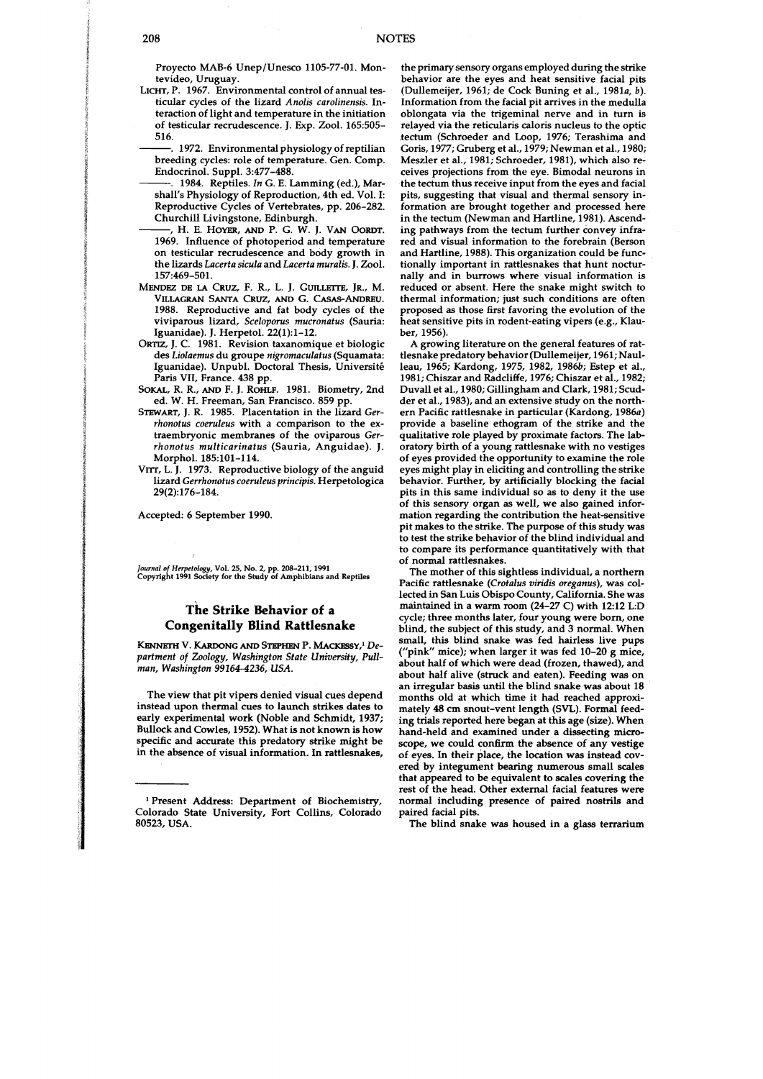Proyecto MAB-6 Unep/Unesco 1105-77-01. Montevideo, Uruguay.

- **LICHT,** P. 1967. Environmental control of annual testicular cycles of the lizard *Anolis carolinensis.* Interaction of light and temperature in the initiation of testicular recrudescence. J. Exp. 2001. 165:505- 516.
	- . 1972. Environmental physiology of reptilian breeding cycles: role of temperature. Gen. Comp. Endocrinol. Suppl. 3:477-488.
	- . 1984. Reptiles. *In* G. E. Lamming (ed.), Marshall's Physiology of Reproduction, 4th ed. Vol. I: Reproductive Cycles of Vertebrates, pp. 206-282. Churchill Livingstone, Edinburgh.
- , H. E. Hoyer, and P. G. W. J. Van Oordt. 1969. Influence of photoperiod and temperature on testicular recrudescence and body growth in the lizards *Lncertn siculn* and *Lncertn murnlis.* J. Zool. 157:469-501.
- MENDEZ DE LA CRUZ, F. R., L. J. GUILLETTE, JR., M. VILLAGRAN SANTA CRUZ, **AM)** G. CASAS-ANDREU. 1988. Reproductive and fat body cycles of the viviparous lizard, *Sceloporus mucronntus* (Sauria: Iguanidae). *J.* Herpetol. 22(1):1-12.
- ORTIZ, J. C. 1981. Revision taxanomique et biologic des *Liolnemus* du groupe *nigromnculntus* (Squamata: Iguanidae). Unpubl. Doctoral Thesis, Université Paris VII, France. 438 pp.
- SOKAL, R. R., **AND** F. J. ROHLF. 1981. Biometry, 2nd ed. W. H. Freeman, San Francisco. 859 pp.
- STEWART, J. R. 1985. Placentation in the lizard *Gerrhonotus coeruleus* with a ccmparison to the extraembryonic membranes of the oviparous *Gerrhonotus multicarinntus* (Sauria, Anguidae). *J.*  Morphol. 185:lOl-114.
- VITT, L.J. 1973. Reproductive biology of the anguid lizard *Gerrhonotus coeruleus principis.* Herpetologica 29(2):176-184.

Accepted: 6 September 1990.

Journal of *Hnpetolqy,* Vol. 25, No. **2,** pp. **208-211, 1991**  Copyright **1991** Society for the **Study** of Amphibians and Reptiles

## **he Strike Behavior of a Congenitally Blind Rattlesnake**

KENNETH V. KARDONG AND STEPHEN P. MACKESSY.<sup>1</sup> De*partment of Zoology, Washington State University, Pullman, Washington 99164-4236, USA.* 

The view that pit vipers denied visual cues depend instead upon thermal cues to launch strikes dates to early experimental work (Noble and Schmidt, 1937; Bullock and Cowles, 1952). What is not known is how specific and accurate this predatory strike might be in the absence of visual information. In rattlesnakes,

the primary sensory organs employed during the strike behavior are the eyes and heat sensitive facial pits (Dullemeijer, 1961; de Cock Buning et al., 1981 $a$ , b). Information from the facial pit arrives in the medulla oblongata via the trigeminal nerve and in **turn** is relayed via the reticularis caloris nucleus to the optic tectum (Schroeder and Loop, 1976; Terashima and Goris, 1977; Gruberg et al., 1979; Newman et al., 1980; Meszler et al., 1981, Schroeder, 1981), which also receives projections from the eye. Bimodal neurons in the tectum thus receive input from the eyes and facial pits, suggesting that visual and thermal sensory information are brought together and processed here in the tectum (Newman and Hartline, 1981). Ascending pathways from the tectum further convey infrared and visual information to the forebrain (Berson and Hartline, 1988). This organization could be functionally important in rattlesnakes that hunt nocturnally and in burrows where visual information is reduced or absent. Here the snake might switch to thermal information; just such conditions are often proposed as those first favoring the evolution of the heat sensitive pits in rodent-eating vipers (e.g., Klauber, 1956).

A growing literature on the general features of rattlesnake predatory behavior (Dullemeijer, 1961; Naulleau, 1965; Kardong, 1975, 1982, 1986b; Estep et **al.,**  1981; Chiszar and Radcliffe, 1976; Chiszar et al., 1982; Duvall et al., 1980; Gillingham and Clark, 1981; Scudder et **al.,** 1983), and an extensive study on the northern Pacific rattlesnake in particular (Kardong, 1986a) provide a baseline ethogram of the strike and the qualitative role played by proximate factors. The laboratory birth of a young rattlesnake with no vestiges of eyes provided the opportunity to examine the role eyes might play in eliciting and controlling the strike behavior. Further, by artificially blocking the facial pits in this same individual so as to deny it the use of this sensory organ as well, we also gained information regarding the contribution the heat-sensitive pit makes to the strike. The purpose of this study was to test the strike behavior of the blind individual and to compare its performance quantitatively with that of normal rattlesnakes.

The mother of this sightless individual, a northern Pacific rattlesnake (Crotalus viridis oreganus), was collected in San Luis Obispo County, California. She was maintained in a warm room (24-27 C) with 12:12 L:D cycle; three months later, four young were born, one blind, the subject of this study, and 3 normal. When small, this blind snake was fed hairless live pups ("pink" mice); when larger it was fed 10-20 g mice, about half of which were dead (frozen, thawed), and about half alive (struck and eaten). Feeding was on an irregular basis until the blind snake was about 18 months old at which time it had reached approximately 48 cm snout-vent length (SVL). Formal feeding trials reported here began at this age (size). When hand-held and examined under a dissecting microscope, we could confirm the absence of any vestige of eyes. In their place, the location was instead covered by integument bearing numerous small **scales**  that appeared to be equivalent to scales covering the rest of the head. Other external facial features were normal including presence of paired nostrils and paired facial pits.

The blind snake was housed in a glass terrarium

<sup>&#</sup>x27; Present Address: Department of Biochemistry, Colorado State University, Fort Collins, Colorado 80523, USA.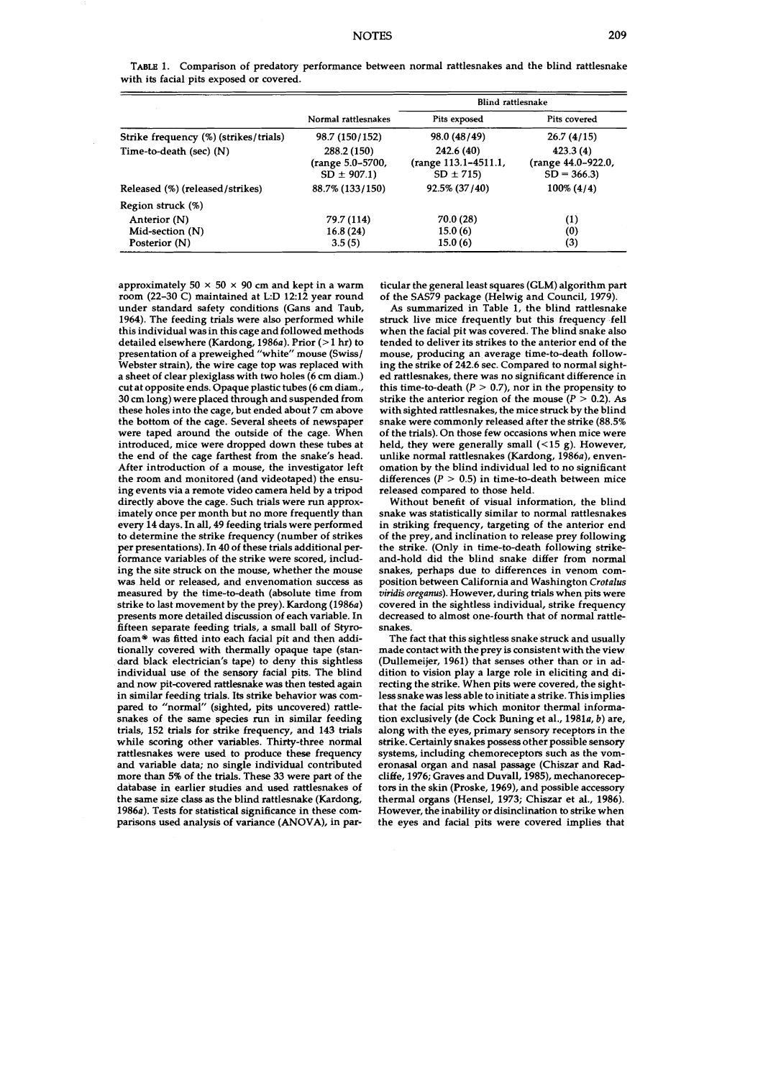|                                       | Normal rattlesnakes                               | <b>Blind rattlesnake</b>                           |                                                |
|---------------------------------------|---------------------------------------------------|----------------------------------------------------|------------------------------------------------|
|                                       |                                                   | Pits exposed                                       | Pits covered                                   |
| Strike frequency (%) (strikes/trials) | 98.7 (150/152)                                    | 98.0 (48/49)                                       | 26.7(4/15)                                     |
| Time-to-death (sec) (N)               | 288.2 (150)<br>(range 5.0–5700,<br>$SD \pm 907.1$ | 242.6 (40)<br>(range 113.1-4511.1,<br>$SD \pm 715$ | 423.3(4)<br>(range 44.0-922.0,<br>$SD = 366.3$ |
| Released (%) (released/strikes)       | 88.7% (133/150)                                   | 92.5% (37/40)                                      | $100\% (4/4)$                                  |
| Region struck (%)                     |                                                   |                                                    |                                                |
| Anterior (N)                          | 79.7 (114)                                        | 70.0 (28)                                          | (1)                                            |
| Mid-section (N)                       | 16.8(24)                                          | 15.0(6)                                            | (0)                                            |
| Posterior (N)                         | 3.5(5)                                            | 15.0(6)                                            | (3)                                            |

**TABU** 1. Comparison of predatory performance between normal rattlesnakes and the blind rattlesnake with its facial pits exposed or covered.

approximately  $50 \times 50 \times 90$  cm and kept in a warm room (22-30 C) maintained at L:D 12:12 year round under standard safety conditions (Gans and Taub, 1964). The feeding trials were also performed while this individual was in this cage and followed methods detailed elsewhere (Kardong, 1986 $a$ ). Prior (>1 hr) to presentation of a preweighed "white" mouse (Swiss/ Webster strain), the wire cage top was replaced with a sheet of clear plexiglass with two holes (6 cm diam.) cut at opposite ends. Opaque plastic tubes (6 cm diam., 30 cm long) were placed through and suspended from these holes into the cage, but ended about 7 cm above the bottom of the cage. Several sheets of newspaper were taped around the outside of the cage. When introduced, mice were dropped down these tubes at the end of the cage farthest from the snake's head. After introduction of a mouse, the investigator left the room and monitored (and videotaped) the ensuing events via a remote video camera held by a tripod directly above the cage. Such trials were run approximately once per month but no more frequently than every 14 days. In all, 49 feeding trials were performed to determine the strike frequency (number of strikes per presentations). In 40 of these trials additional performance variables of the strike were scored, including the site struck on the mouse, whether the mouse was held or released, and envenomation success as measured by the time-to-death (absolute time from strike to last movement by the prey). Kardong  $(1986a)$ presents more detailed discussion of each variable. In fifteen separate feeding trials, a small ball of Styrofoam® was fitted into each facial pit and then additionally covered with thermally opaque tape (standard black electrician's tape) to deny this sightless individual use of the sensory facial pits. The blind and now pit-covered rattlesnake was then tested again in similar feeding trials. Its strike behavior was compared to "normal" (sighted, pits uncovered) rattlesnakes of the same species run in similar feeding trials, 152 trials for strike frequency, and 143 trials while scoring other variables. Thirty-three normal rattlesnakes were used to produce these frequency and variable data; no single individual contributed more than 5% of the trials. These 33 were part of the database in earlier studies and used rattlesnakes of the same size class as the blind rattlesnake (Kardong, 1986a). Tests for statistical significance in these comparisons used analysis of variance **(ANOVA),** in particular the general least squares (GLM) algorithm part of the SAS79 package (Helwig and Council, 1979).

As summarized in Table 1, the blind rattlesnake struck live mice frequently but this frequency fell when the facial pit was covered. The blind snake also tended to deliver its strikes to the anterior end of the mouse, producing an average time-to-death following the strike of 242.6 sec. Compared to normal sighted rattlesnakes, there was no significant difference in this time-to-death  $(P > 0.7)$ , nor in the propensity to strike the anterior region of the mouse  $(P > 0.2)$ . As with sighted rattlesnakes, the mice struck by the blind snake were commonly released after the strike (88.5% of the trials). On those few occasions when mice were held, they were generally small  $(<15$  g). However, unlike normal rattlesnakes (Kardong, 1986a), envenomation by the blind individual led to no significant differences ( $P > 0.5$ ) in time-to-death between mice released compared to those held.

Without benefit of visual information, the blind snake was statistically similar to normal rattlesnakes in striking frequency, targeting of the anterior end of the prey, and inclination to release prey following the strike. (Only in time-to-death following strikeand-hold did the blind snake differ from normal snakes, perhaps due to differences in venom composition between California and Washington Crotalus **vin'dis** oregaws). However, during trials when pits were covered in the sightless individual, strike frequency decreased to almost one-fourth that of normal rattlesnakes.

The fact that this sightless snake struck and usually made contact with the prey is consistent with the view (Dullemeijer, 1961) that senses other than or in addition to vision play a large role in eliciting and directing the strike. When pits were covered, the sightless snake was less able to initiate a strike. This implies that the facial pits which monitor thermal information exclusively (de Cock Buning et al., 1981a, b) are, along with the eyes, primary sensory receptors in the strike. Certainly snakes possess other possible sensory systems, including chemoreceptors such as the vomeronasal organ and nasal passage (Chiszar and Radcliffe, 1976; Graves and Duvall, 1985), mechanoreceptors in the skin (Proske, 1969), and possible accessory thermal organs (Hensel, 1973; Chiszar et al., 1986). However, the inability or disinclination to strike when the eyes and facial pits were covered implies that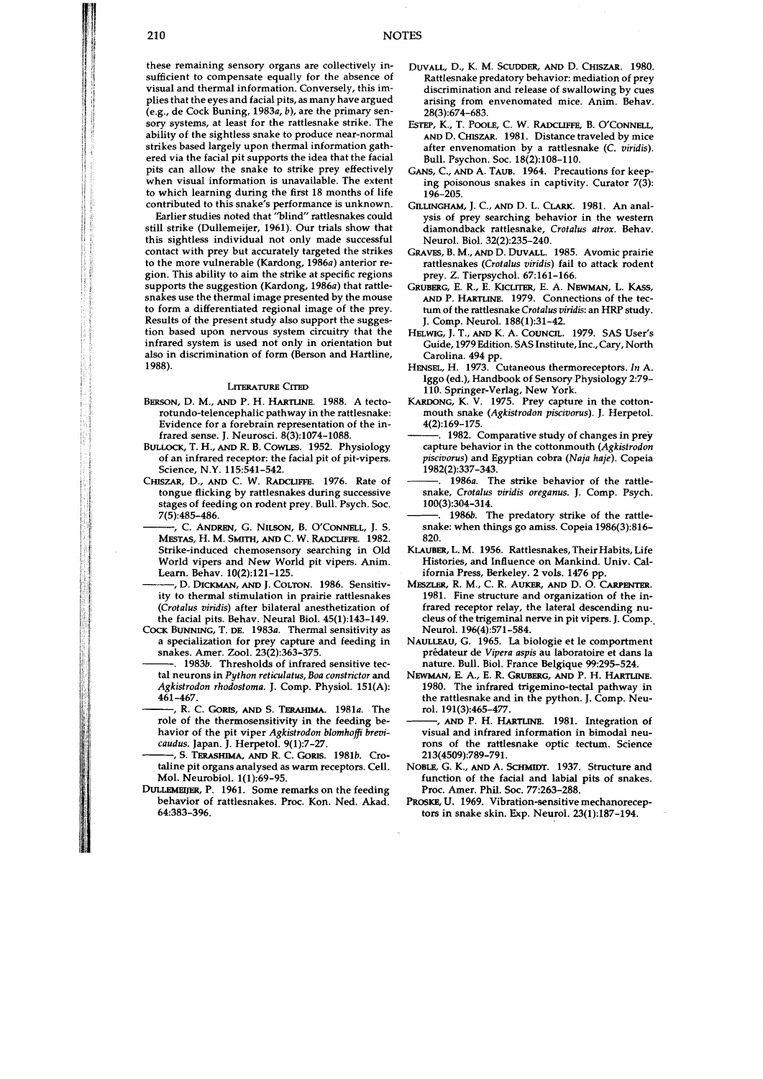these remaining sensory organs are collectively insufficient to compensate equally for the absence of visual and thermal information. Conversely, this implies that the eyes and facial pits, as many have argued  $(e.g., de Cock Buning, 1983a, b)$ , are the primary sensory systems, at least for the rattlesnake strike. The ability of the sightless snake to produce near-normal strikes based largely upon thermal information gathered via the facial pit supports the idea that the facial pits can allow the snake to strike prey effectively when visual information is unavailable. The extent to which learning during the first 18 months of life contributed to this snake's performance is unknown.

Earlier studies noted that "blind" rattlesnakes could still strike (Dullemeijer, 1961). Our trials show that this sightless individual not only made successful contact with prey but accurately targeted the strikes to the more vulnerable (Kardong, 1986a) anterior region. This ability to aim the strike at specific regions supports the suggestion (Kardong, 1986a) that rattlesnakes use the thermal image presented by the mouse to form a differentiated regional image of the prey. Results of the present study also support the suggestion based upon nervous system circuitry that the infrared system is used not only in orientation but also in discrimination of form (Berson and Hartline, 1988).

## LITERATURE CITED

- BERSON, D. **M.,** AND P. H. HARTLINE. 1988. A tectorotundo-telencephalic pathway in the rattlesnake: Evidence for a forebrain representation of the infrared sense. J. Neurosci. 8(3):1074-1088.
- BULLOCK, T. H., AND R. B. COWLES. 1952. Physiology of an infrared receptor: the facial pit of pit-vipers. Science, N.Y. 115:541-542.
- CHISZAR, **D.,** AND C. W. RADCLWFE. 1976. Rate of tongue flicking by rattlesnakes during successive stages of feeding on rodent prey. Bull. Psych. Soc. 7(5):485-486.
	- , C. ANDREN, G. NILSON, B. O'CONNELL, J. S. MESTAS, H. M. SMITH, AND C. W. RADCLIFFE. 1982. Strike-induced chemosensory searching in Old World vipers and New World pit vipers. Anim. Learn. Behav. 10(2):121-125.
- , D. **WICKMAN, AND** J. COLTON. 1986. Sensitivity to thermal stimulation in prairie rattlesnakes (Crotalus viridis) after bilateral anesthetization of the facial pits. Behav. Neural Biol. 45(1):143-149.
- COCK BUNNING, T. DE. 1983a. Thermal sensitivity as a specialization for prey capture and feeding in snakes. Amer. Zool. 23(2):363-375.
	- . 1983b. Thresholds of infrared sensitive tectal neurons in Python reticulatus, Boa constrictor and Agkistrodon rhodostoma. J. Comp. Physiol. 151(A): 461-467.
	- , R. C. GORIS, AND S. TERAHIMA. 1981a. The role of the thermosensitivity in the feeding behavior of the pit viper Agkistrodon blomhoffi brevicaudus. Japan. J. Herpetol. 9(1):7-27.
- 5. TERASHIMA, AND R. C. GORIS. 1981b. Crotaline pit organs analysed as warm receptors. Cell. Mol. Neurobiol. 1(1):69-95.
- **DUUEMRIJER,** P. 1961. Some remarks on the feeding behavior of rattlesnakes. Proc. Kon. Ned. Akad. 64:383-396.
- DUVALL, D., K. M. SCUDDER, **AM)** D. CHISZAR. 1980. Rattlesnake predatory behavior: mediation of prey discrimination and release of swallowing by cues arising from envenomated mice. Anim. Behav. 28(3):674-683.
- **ESTEP,** K., T. **POOLE,** C. W. RADCLIFFE, B. O'CONNELL, AND D. CHISZAR. 1981. Distance traveled by mice after envenomation by a rattlesnake (C. viridis). Bull. Psychon. Soc. 18(2):108-110.
- **GANS,** C., AND A. TAUB. 1964. Precautions for keeping poisonous snakes in captivity. Curator 7(3): 196-205.
- GILLINCHAM, **j.** *C.,* **AND** D. L. CLARK. 1981. An analysis of prey searching behavior in the western diamondback rattlesnake, Crotalus atrox. Behav. Neurol. Biol. 32(2):235-240.
- GRAVES, B. M., **AND** D. **DWALL.** 1985. Avomic prairie rattlesnakes (Crotalus viridis) fail to attack rodent prey. Z. Tierpsychol. 67:161-166.
- GRUBERG, E. R., E. KICLITER, E. A. NEWMAN, L. **KASS,** AND P. **HARTLINE.** 1979. Connections of the tectum of the rattlesnake Crotalus viridis: an HRP study. J. Comp. Neurol. 188(1):31-42.
- HELWJG, J.T., **AND** K. A. COUNCIL. 1979. SAS User's Guide, 1979 Edition. SAS Institute, Inc., Cary, North Carolina. 494 pp.
- HENSEL, H. 1973. Cutaneous thermoreceptors. In A. Iggo (ed.), Handbook of Sensory Physiology 2:79- 110. Springer-Verlag, New York.
- KARDONG, K. V. 1975. Prey capture in the cottonmouth snake (Agkistrodon piscivorus). J. Herpetol. 4(2):169-175.
- . 1982. Comparative study of changes in prey capture behavior in the cottonmouth  $(A$ gkistrodon piscivorus) and Egyptian cobra (Naja haje). Copeia 1982(2):337-343.
- . 1986a. The strike behavior of the rattlesnake, Crotalus viridis oreganus. J. Comp. Psych. 100(3):304-314.
- 1986b. The predatory strike of the rattlesnake: when things go amiss. Copeia 1986(3):816- 820.
- KLAUBER, L. M. 1956. Rattlesnakes, Their Habits, Life Histories, and Influence on Mankind. Univ. California Press, Berkeley. 2 vols. 1476 pp.
- MSZLW, **R. M.,** C. **R.** AUKER, AND **w. 0.** CARPENTER. 1981. Fine structure and organization of the infrared receptor relay, the lateral descending nucleus of the trigeminal nerve in pit vipers. J. Comp.. Neurol. 196(4):571-584.
- NAULLEAU, G. 1965. La biologie et le comportment prédateur de Vipera aspis au laboratoire et dans la nature. Bull. Biol. France Belgique 99295-524.
- NEWMAN, E. A., E. R. GRUBERG, AND P. H. **HARTLINE.**  1980. The infrared trigemino-tectal pathway in the rattlesnake and in the python. J. Comp. Neurol. 191(3):465-477.
- AND P. H. HARTLINE. 1981. Integration of visual and infrared information in bimodal neurons of the rattlesnake optic tectum. Science 213(4509):789-791.
- NOBLE, G. K., AND A. **SCHMIDT.** 1937. Structure and function of the facial and labial pits of snakes. Proc. Amer. Phil. Soc. 77:263-288.
- PROSKE, U. 1969. Vibration-sensitive mechanoreceptors in snake skin. Exp. Neurol. 23(1):187-194.